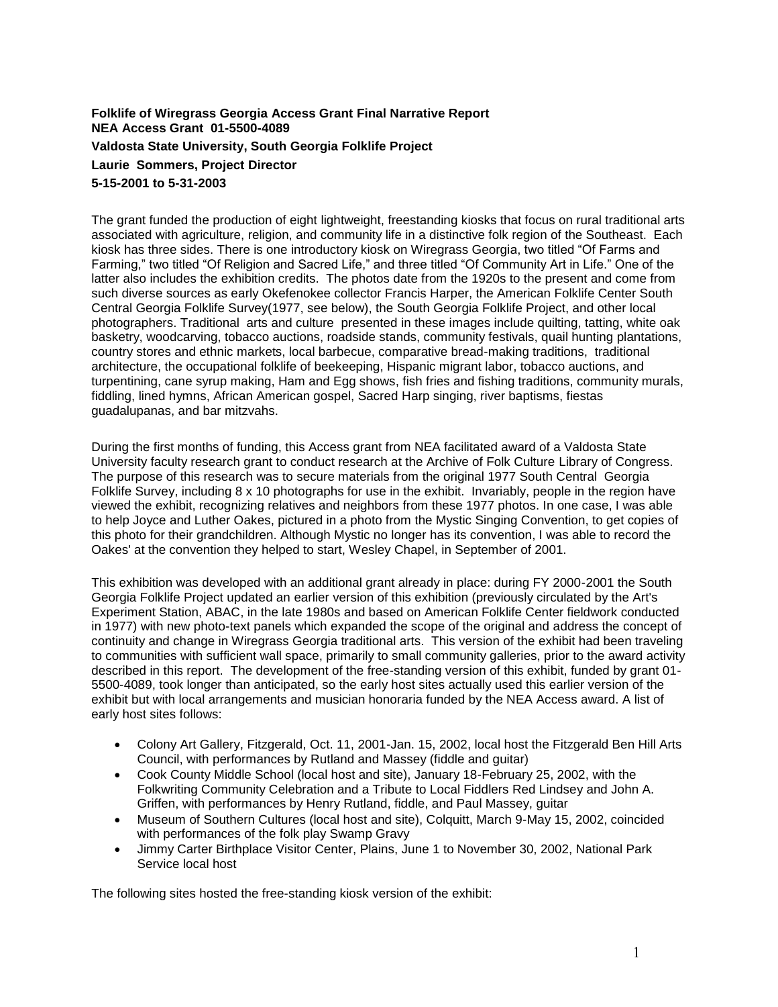## **Folklife of Wiregrass Georgia Access Grant Final Narrative Report NEA Access Grant 01-5500-4089 Valdosta State University, South Georgia Folklife Project Laurie Sommers, Project Director 5-15-2001 to 5-31-2003**

The grant funded the production of eight lightweight, freestanding kiosks that focus on rural traditional arts associated with agriculture, religion, and community life in a distinctive folk region of the Southeast. Each kiosk has three sides. There is one introductory kiosk on Wiregrass Georgia, two titled "Of Farms and Farming," two titled "Of Religion and Sacred Life," and three titled "Of Community Art in Life." One of the latter also includes the exhibition credits. The photos date from the 1920s to the present and come from such diverse sources as early Okefenokee collector Francis Harper, the American Folklife Center South Central Georgia Folklife Survey(1977, see below), the South Georgia Folklife Project, and other local photographers. Traditional arts and culture presented in these images include quilting, tatting, white oak basketry, woodcarving, tobacco auctions, roadside stands, community festivals, quail hunting plantations, country stores and ethnic markets, local barbecue, comparative bread-making traditions, traditional architecture, the occupational folklife of beekeeping, Hispanic migrant labor, tobacco auctions, and turpentining, cane syrup making, Ham and Egg shows, fish fries and fishing traditions, community murals, fiddling, lined hymns, African American gospel, Sacred Harp singing, river baptisms, fiestas guadalupanas, and bar mitzvahs.

During the first months of funding, this Access grant from NEA facilitated award of a Valdosta State University faculty research grant to conduct research at the Archive of Folk Culture Library of Congress. The purpose of this research was to secure materials from the original 1977 South Central Georgia Folklife Survey, including 8 x 10 photographs for use in the exhibit. Invariably, people in the region have viewed the exhibit, recognizing relatives and neighbors from these 1977 photos. In one case, I was able to help Joyce and Luther Oakes, pictured in a photo from the Mystic Singing Convention, to get copies of this photo for their grandchildren. Although Mystic no longer has its convention, I was able to record the Oakes' at the convention they helped to start, Wesley Chapel, in September of 2001.

This exhibition was developed with an additional grant already in place: during FY 2000-2001 the South Georgia Folklife Project updated an earlier version of this exhibition (previously circulated by the Art's Experiment Station, ABAC, in the late 1980s and based on American Folklife Center fieldwork conducted in 1977) with new photo-text panels which expanded the scope of the original and address the concept of continuity and change in Wiregrass Georgia traditional arts. This version of the exhibit had been traveling to communities with sufficient wall space, primarily to small community galleries, prior to the award activity described in this report. The development of the free-standing version of this exhibit, funded by grant 01- 5500-4089, took longer than anticipated, so the early host sites actually used this earlier version of the exhibit but with local arrangements and musician honoraria funded by the NEA Access award. A list of early host sites follows:

- Colony Art Gallery, Fitzgerald, Oct. 11, 2001-Jan. 15, 2002, local host the Fitzgerald Ben Hill Arts Council, with performances by Rutland and Massey (fiddle and guitar)
- Cook County Middle School (local host and site), January 18-February 25, 2002, with the Folkwriting Community Celebration and a Tribute to Local Fiddlers Red Lindsey and John A. Griffen, with performances by Henry Rutland, fiddle, and Paul Massey, guitar
- Museum of Southern Cultures (local host and site), Colquitt, March 9-May 15, 2002, coincided with performances of the folk play Swamp Gravy
- Jimmy Carter Birthplace Visitor Center, Plains, June 1 to November 30, 2002, National Park Service local host

The following sites hosted the free-standing kiosk version of the exhibit: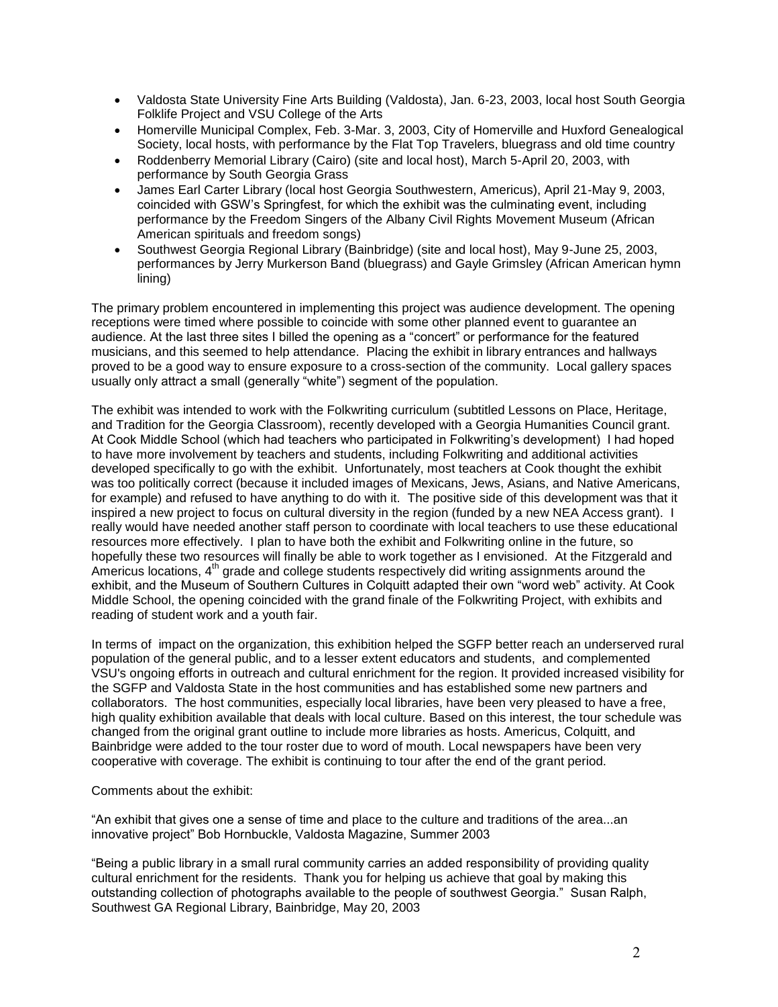- Valdosta State University Fine Arts Building (Valdosta), Jan. 6-23, 2003, local host South Georgia Folklife Project and VSU College of the Arts
- Homerville Municipal Complex, Feb. 3-Mar. 3, 2003, City of Homerville and Huxford Genealogical Society, local hosts, with performance by the Flat Top Travelers, bluegrass and old time country
- Roddenberry Memorial Library (Cairo) (site and local host), March 5-April 20, 2003, with performance by South Georgia Grass
- James Earl Carter Library (local host Georgia Southwestern, Americus), April 21-May 9, 2003, coincided with GSW's Springfest, for which the exhibit was the culminating event, including performance by the Freedom Singers of the Albany Civil Rights Movement Museum (African American spirituals and freedom songs)
- Southwest Georgia Regional Library (Bainbridge) (site and local host), May 9-June 25, 2003, performances by Jerry Murkerson Band (bluegrass) and Gayle Grimsley (African American hymn lining)

The primary problem encountered in implementing this project was audience development. The opening receptions were timed where possible to coincide with some other planned event to guarantee an audience. At the last three sites I billed the opening as a "concert" or performance for the featured musicians, and this seemed to help attendance. Placing the exhibit in library entrances and hallways proved to be a good way to ensure exposure to a cross-section of the community. Local gallery spaces usually only attract a small (generally "white") segment of the population.

The exhibit was intended to work with the Folkwriting curriculum (subtitled Lessons on Place, Heritage, and Tradition for the Georgia Classroom), recently developed with a Georgia Humanities Council grant. At Cook Middle School (which had teachers who participated in Folkwriting's development) I had hoped to have more involvement by teachers and students, including Folkwriting and additional activities developed specifically to go with the exhibit. Unfortunately, most teachers at Cook thought the exhibit was too politically correct (because it included images of Mexicans, Jews, Asians, and Native Americans, for example) and refused to have anything to do with it. The positive side of this development was that it inspired a new project to focus on cultural diversity in the region (funded by a new NEA Access grant). I really would have needed another staff person to coordinate with local teachers to use these educational resources more effectively. I plan to have both the exhibit and Folkwriting online in the future, so hopefully these two resources will finally be able to work together as I envisioned. At the Fitzgerald and Americus locations, 4<sup>th</sup> grade and college students respectively did writing assignments around the exhibit, and the Museum of Southern Cultures in Colquitt adapted their own "word web" activity. At Cook Middle School, the opening coincided with the grand finale of the Folkwriting Project, with exhibits and reading of student work and a youth fair.

In terms of impact on the organization, this exhibition helped the SGFP better reach an underserved rural population of the general public, and to a lesser extent educators and students, and complemented VSU's ongoing efforts in outreach and cultural enrichment for the region. It provided increased visibility for the SGFP and Valdosta State in the host communities and has established some new partners and collaborators. The host communities, especially local libraries, have been very pleased to have a free, high quality exhibition available that deals with local culture. Based on this interest, the tour schedule was changed from the original grant outline to include more libraries as hosts. Americus, Colquitt, and Bainbridge were added to the tour roster due to word of mouth. Local newspapers have been very cooperative with coverage. The exhibit is continuing to tour after the end of the grant period.

Comments about the exhibit:

"An exhibit that gives one a sense of time and place to the culture and traditions of the area...an innovative project" Bob Hornbuckle, Valdosta Magazine, Summer 2003

"Being a public library in a small rural community carries an added responsibility of providing quality cultural enrichment for the residents. Thank you for helping us achieve that goal by making this outstanding collection of photographs available to the people of southwest Georgia." Susan Ralph, Southwest GA Regional Library, Bainbridge, May 20, 2003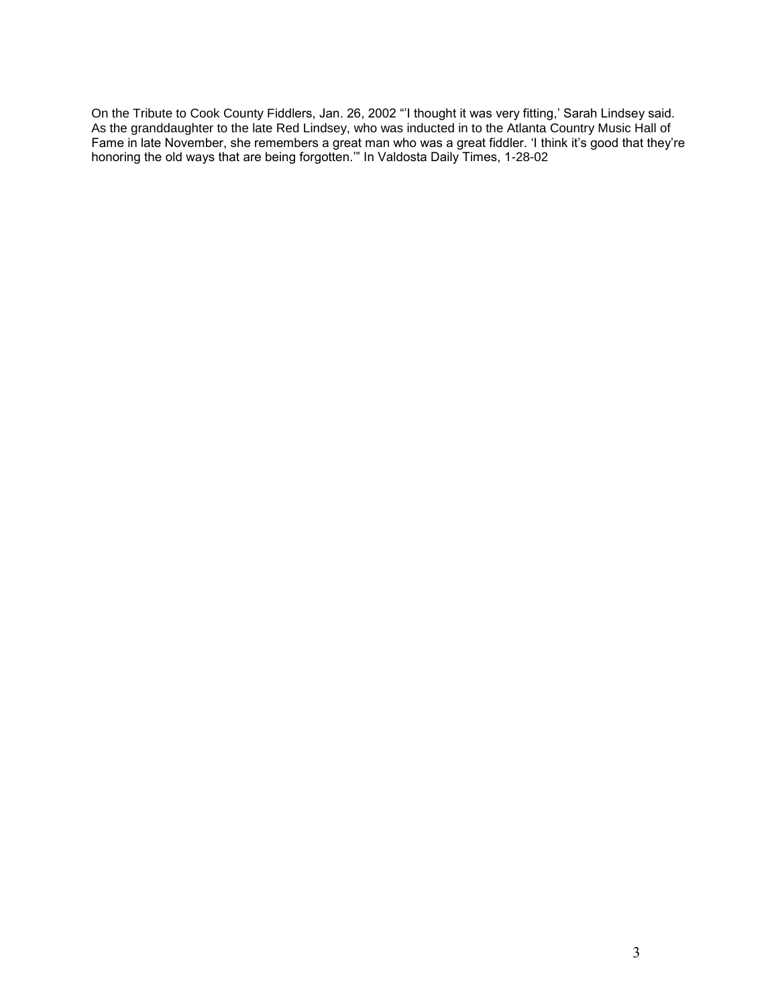On the Tribute to Cook County Fiddlers, Jan. 26, 2002 "'I thought it was very fitting,' Sarah Lindsey said. As the granddaughter to the late Red Lindsey, who was inducted in to the Atlanta Country Music Hall of Fame in late November, she remembers a great man who was a great fiddler. 'I think it's good that they're honoring the old ways that are being forgotten.'" In Valdosta Daily Times, 1-28-02